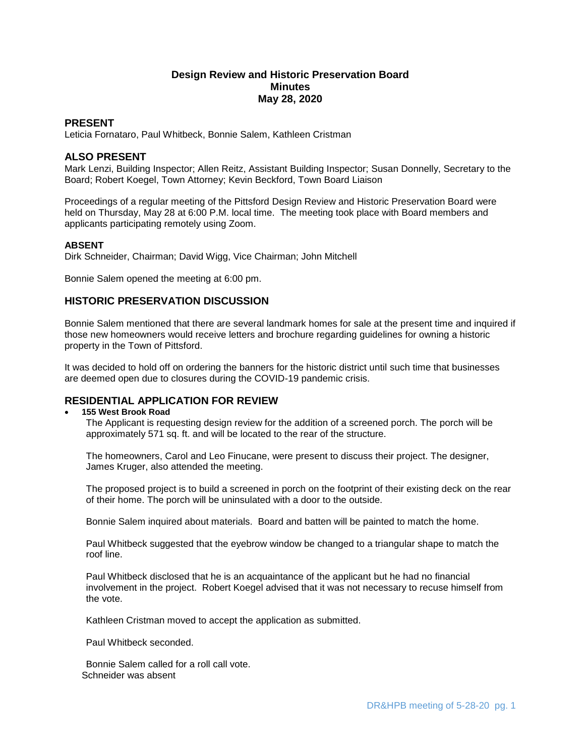# **Design Review and Historic Preservation Board Minutes May 28, 2020**

## **PRESENT**

Leticia Fornataro, Paul Whitbeck, Bonnie Salem, Kathleen Cristman

## **ALSO PRESENT**

Mark Lenzi, Building Inspector; Allen Reitz, Assistant Building Inspector; Susan Donnelly, Secretary to the Board; Robert Koegel, Town Attorney; Kevin Beckford, Town Board Liaison

Proceedings of a regular meeting of the Pittsford Design Review and Historic Preservation Board were held on Thursday, May 28 at 6:00 P.M. local time. The meeting took place with Board members and applicants participating remotely using Zoom.

### **ABSENT**

Dirk Schneider, Chairman; David Wigg, Vice Chairman; John Mitchell

Bonnie Salem opened the meeting at 6:00 pm.

## **HISTORIC PRESERVATION DISCUSSION**

Bonnie Salem mentioned that there are several landmark homes for sale at the present time and inquired if those new homeowners would receive letters and brochure regarding guidelines for owning a historic property in the Town of Pittsford.

It was decided to hold off on ordering the banners for the historic district until such time that businesses are deemed open due to closures during the COVID-19 pandemic crisis.

## **RESIDENTIAL APPLICATION FOR REVIEW**

#### **155 West Brook Road**

The Applicant is requesting design review for the addition of a screened porch. The porch will be approximately 571 sq. ft. and will be located to the rear of the structure.

The homeowners, Carol and Leo Finucane, were present to discuss their project. The designer, James Kruger, also attended the meeting.

The proposed project is to build a screened in porch on the footprint of their existing deck on the rear of their home. The porch will be uninsulated with a door to the outside.

Bonnie Salem inquired about materials. Board and batten will be painted to match the home.

Paul Whitbeck suggested that the eyebrow window be changed to a triangular shape to match the roof line.

Paul Whitbeck disclosed that he is an acquaintance of the applicant but he had no financial involvement in the project. Robert Koegel advised that it was not necessary to recuse himself from the vote.

Kathleen Cristman moved to accept the application as submitted.

Paul Whitbeck seconded.

Bonnie Salem called for a roll call vote. Schneider was absent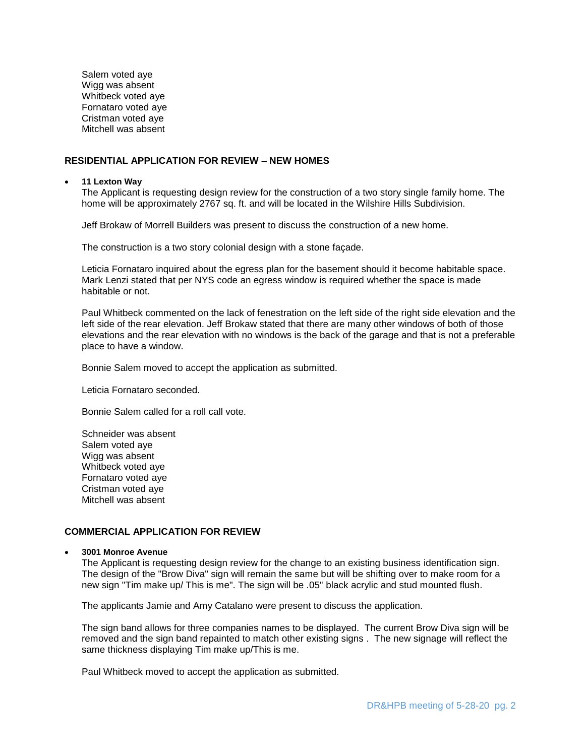Salem voted aye Wigg was absent Whitbeck voted aye Fornataro voted aye Cristman voted aye Mitchell was absent

### **RESIDENTIAL APPLICATION FOR REVIEW – NEW HOMES**

#### **11 Lexton Way**

The Applicant is requesting design review for the construction of a two story single family home. The home will be approximately 2767 sq. ft. and will be located in the Wilshire Hills Subdivision.

Jeff Brokaw of Morrell Builders was present to discuss the construction of a new home.

The construction is a two story colonial design with a stone façade.

Leticia Fornataro inquired about the egress plan for the basement should it become habitable space. Mark Lenzi stated that per NYS code an egress window is required whether the space is made habitable or not.

Paul Whitbeck commented on the lack of fenestration on the left side of the right side elevation and the left side of the rear elevation. Jeff Brokaw stated that there are many other windows of both of those elevations and the rear elevation with no windows is the back of the garage and that is not a preferable place to have a window.

Bonnie Salem moved to accept the application as submitted.

Leticia Fornataro seconded.

Bonnie Salem called for a roll call vote.

Schneider was absent Salem voted aye Wigg was absent Whitbeck voted aye Fornataro voted aye Cristman voted aye Mitchell was absent

#### **COMMERCIAL APPLICATION FOR REVIEW**

**3001 Monroe Avenue**

The Applicant is requesting design review for the change to an existing business identification sign. The design of the "Brow Diva" sign will remain the same but will be shifting over to make room for a new sign "Tim make up/ This is me". The sign will be .05" black acrylic and stud mounted flush.

The applicants Jamie and Amy Catalano were present to discuss the application.

The sign band allows for three companies names to be displayed. The current Brow Diva sign will be removed and the sign band repainted to match other existing signs . The new signage will reflect the same thickness displaying Tim make up/This is me.

Paul Whitbeck moved to accept the application as submitted.